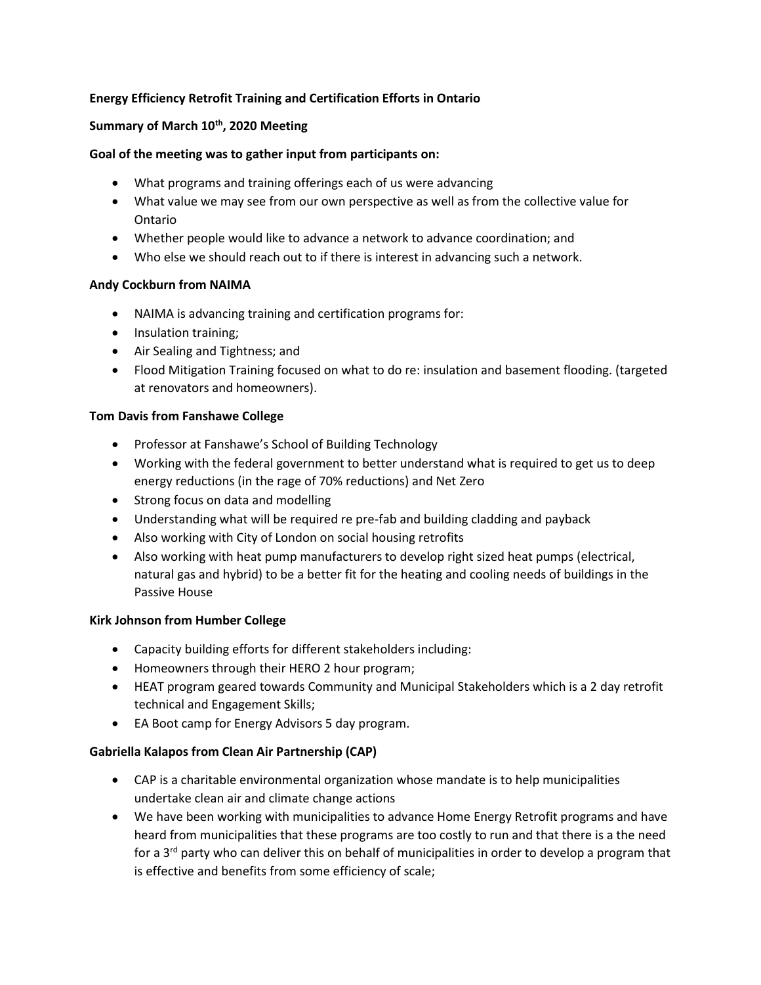## **Energy Efficiency Retrofit Training and Certification Efforts in Ontario**

## **Summary of March 10th, 2020 Meeting**

## **Goal of the meeting was to gather input from participants on:**

- What programs and training offerings each of us were advancing
- What value we may see from our own perspective as well as from the collective value for Ontario
- Whether people would like to advance a network to advance coordination; and
- Who else we should reach out to if there is interest in advancing such a network.

## **Andy Cockburn from NAIMA**

- NAIMA is advancing training and certification programs for:
- Insulation training;
- Air Sealing and Tightness; and
- Flood Mitigation Training focused on what to do re: insulation and basement flooding. (targeted at renovators and homeowners).

### **Tom Davis from Fanshawe College**

- Professor at Fanshawe's School of Building Technology
- Working with the federal government to better understand what is required to get us to deep energy reductions (in the rage of 70% reductions) and Net Zero
- Strong focus on data and modelling
- Understanding what will be required re pre-fab and building cladding and payback
- Also working with City of London on social housing retrofits
- Also working with heat pump manufacturers to develop right sized heat pumps (electrical, natural gas and hybrid) to be a better fit for the heating and cooling needs of buildings in the Passive House

#### **Kirk Johnson from Humber College**

- Capacity building efforts for different stakeholders including:
- Homeowners through their HERO 2 hour program;
- HEAT program geared towards Community and Municipal Stakeholders which is a 2 day retrofit technical and Engagement Skills;
- EA Boot camp for Energy Advisors 5 day program.

## **Gabriella Kalapos from Clean Air Partnership (CAP)**

- CAP is a charitable environmental organization whose mandate is to help municipalities undertake clean air and climate change actions
- We have been working with municipalities to advance Home Energy Retrofit programs and have heard from municipalities that these programs are too costly to run and that there is a the need for a 3<sup>rd</sup> party who can deliver this on behalf of municipalities in order to develop a program that is effective and benefits from some efficiency of scale;